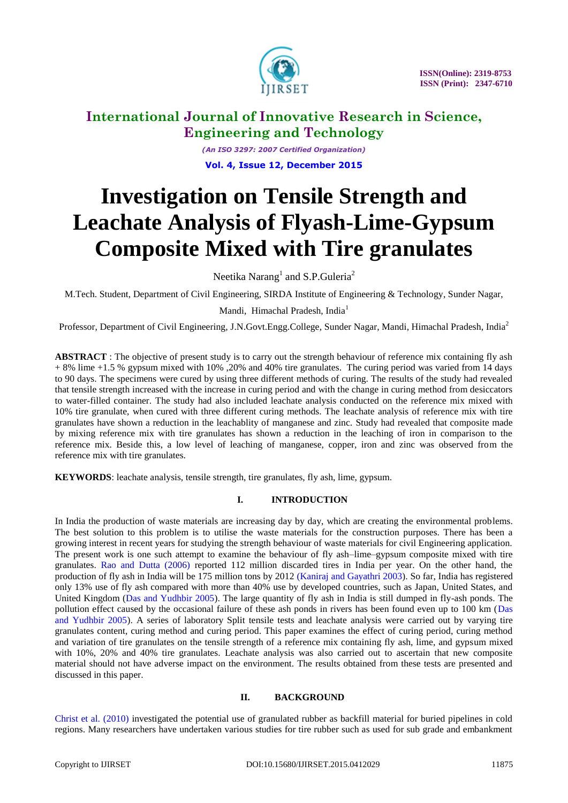

*(An ISO 3297: 2007 Certified Organization)* **Vol. 4, Issue 12, December 2015**

# **Investigation on Tensile Strength and Leachate Analysis of Flyash-Lime-Gypsum Composite Mixed with Tire granulates**

Neetika Narang<sup>1</sup> and S.P.Guleria<sup>2</sup>

M.Tech. Student, Department of Civil Engineering, SIRDA Institute of Engineering & Technology, Sunder Nagar,

### Mandi, Himachal Pradesh, India<sup>1</sup>

Professor, Department of Civil Engineering, J.N.Govt.Engg.College, Sunder Nagar, Mandi, Himachal Pradesh, India<sup>2</sup>

**ABSTRACT**: The objective of present study is to carry out the strength behaviour of reference mix containing fly ash + 8% lime +1.5 % gypsum mixed with 10% ,20% and 40% tire granulates. The curing period was varied from 14 days to 90 days. The specimens were cured by using three different methods of curing. The results of the study had revealed that tensile strength increased with the increase in curing period and with the change in curing method from desiccators to water-filled container. The study had also included leachate analysis conducted on the reference mix mixed with 10% tire granulate, when cured with three different curing methods. The leachate analysis of reference mix with tire granulates have shown a reduction in the leachablity of manganese and zinc. Study had revealed that composite made by mixing reference mix with tire granulates has shown a reduction in the leaching of iron in comparison to the reference mix. Beside this, a low level of leaching of manganese, copper, iron and zinc was observed from the reference mix with tire granulates.

**KEYWORDS**: leachate analysis, tensile strength, tire granulates, fly ash, lime, gypsum.

### **I. INTRODUCTION**

In India the production of waste materials are increasing day by day, which are creating the environmental problems. The best solution to this problem is to utilise the waste materials for the construction purposes. There has been a growing interest in recent years for studying the strength behaviour of waste materials for civil Engineering application. The present work is one such attempt to examine the behaviour of fly ash–lime–gypsum composite mixed with tire granulates. Rao and Dutta (2006) reported 112 million discarded tires in India per year. On the other hand, the production of fly ash in India will be 175 million tons by 2012 (Kaniraj and Gayathri 2003). So far, India has registered only 13% use of fly ash compared with more than 40% use by developed countries, such as Japan, United States, and United Kingdom (Das and Yudhbir 2005). The large quantity of fly ash in India is still dumped in fly-ash ponds. The pollution effect caused by the occasional failure of these ash ponds in rivers has been found even up to 100 km (Das and Yudhbir 2005). A series of laboratory Split tensile tests and leachate analysis were carried out by varying tire granulates content, curing method and curing period. This paper examines the effect of curing period, curing method and variation of tire granulates on the tensile strength of a reference mix containing fly ash, lime, and gypsum mixed with 10%, 20% and 40% tire granulates. Leachate analysis was also carried out to ascertain that new composite material should not have adverse impact on the environment. The results obtained from these tests are presented and discussed in this paper.

### **II. BACKGROUND**

Christ et al. (2010) investigated the potential use of granulated rubber as backfill material for buried pipelines in cold regions. Many researchers have undertaken various studies for tire rubber such as used for sub grade and embankment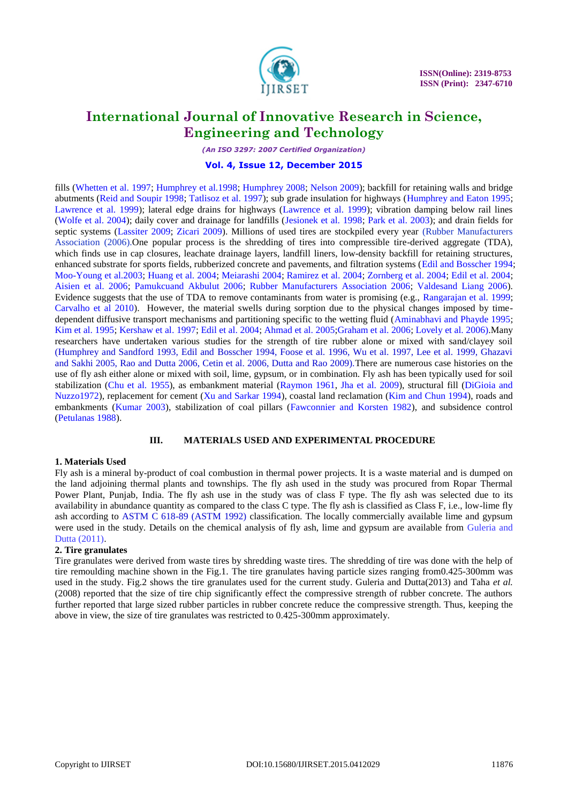

*(An ISO 3297: 2007 Certified Organization)*

#### **Vol. 4, Issue 12, December 2015**

fills (Whetten et al. 1997; Humphrey et al.1998; Humphrey 2008; Nelson 2009); backfill for retaining walls and bridge abutments (Reid and Soupir 1998; Tatlisoz et al. 1997); sub grade insulation for highways (Humphrey and Eaton 1995; Lawrence et al. 1999); lateral edge drains for highways (Lawrence et al. 1999); vibration damping below rail lines (Wolfe et al. 2004); daily cover and drainage for landfills (Jesionek et al. 1998; Park et al. 2003); and drain fields for septic systems (Lassiter 2009; Zicari 2009). Millions of used tires are stockpiled every year (Rubber Manufacturers Association (2006).One popular process is the shredding of tires into compressible tire-derived aggregate (TDA), which finds use in cap closures, leachate drainage layers, landfill liners, low-density backfill for retaining structures, enhanced substrate for sports fields, rubberized concrete and pavements, and filtration systems (Edil and Bosscher 1994; Moo-Young et al.2003; Huang et al. 2004; Meiarashi 2004; Ramirez et al. 2004; Zornberg et al. 2004; Edil et al. 2004; Aisien et al. 2006; Pamukcuand Akbulut 2006; Rubber Manufacturers Association 2006; Valdesand Liang 2006). Evidence suggests that the use of TDA to remove contaminants from water is promising (e.g., Rangarajan et al. 1999; Carvalho et al 2010). However, the material swells during sorption due to the physical changes imposed by timedependent diffusive transport mechanisms and partitioning specific to the wetting fluid (Aminabhavi and Phayde 1995; Kim et al. 1995; Kershaw et al. 1997; Edil et al. 2004; Ahmad et al. 2005;Graham et al. 2006; Lovely et al. 2006).Many researchers have undertaken various studies for the strength of tire rubber alone or mixed with sand/clayey soil (Humphrey and Sandford 1993, Edil and Bosscher 1994, Foose et al. 1996, Wu et al. 1997, Lee et al. 1999, Ghazavi and Sakhi 2005, Rao and Dutta 2006, Cetin et al. 2006, Dutta and Rao 2009).There are numerous case histories on the use of fly ash either alone or mixed with soil, lime, gypsum, or in combination. Fly ash has been typically used for soil stabilization (Chu et al. 1955), as embankment material (Raymon 1961, Jha et al. 2009), structural fill (DiGioia and Nuzzo1972), replacement for cement (Xu and Sarkar 1994), coastal land reclamation (Kim and Chun 1994), roads and embankments (Kumar 2003), stabilization of coal pillars (Fawconnier and Korsten 1982), and subsidence control (Petulanas 1988).

#### **III. MATERIALS USED AND EXPERIMENTAL PROCEDURE**

#### **1. Materials Used**

Fly ash is a mineral by-product of coal combustion in thermal power projects. It is a waste material and is dumped on the land adjoining thermal plants and townships. The fly ash used in the study was procured from Ropar Thermal Power Plant, Punjab, India. The fly ash use in the study was of class F type. The fly ash was selected due to its availability in abundance quantity as compared to the class C type. The fly ash is classified as Class F, i.e., low-lime fly ash according to ASTM C 618-89 (ASTM 1992) classification. The locally commercially available lime and gypsum were used in the study. Details on the chemical analysis of fly ash, lime and gypsum are available from Guleria and Dutta (2011).

### **2. Tire granulates**

Tire granulates were derived from waste tires by shredding waste tires. The shredding of tire was done with the help of tire remoulding machine shown in the Fig.1. The tire granulates having particle sizes ranging from0.425-300mm was used in the study. Fig.2 shows the tire granulates used for the current study. Guleria and Dutta(2013) and Taha *et al.*  (2008) reported that the size of tire chip significantly effect the compressive strength of rubber concrete. The authors further reported that large sized rubber particles in rubber concrete reduce the compressive strength. Thus, keeping the above in view, the size of tire granulates was restricted to 0.425-300mm approximately.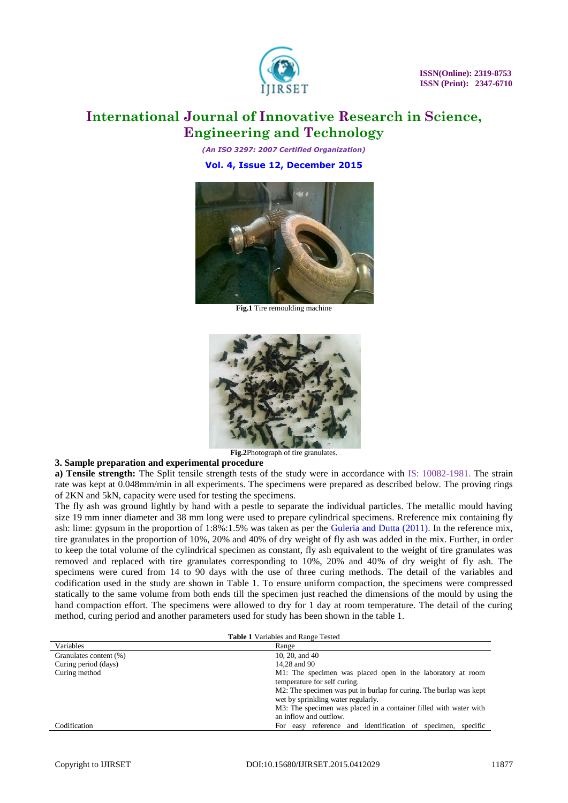

*(An ISO 3297: 2007 Certified Organization)* **Vol. 4, Issue 12, December 2015**



**Fig.1** Tire remoulding machine



**Fig.2**Photograph of tire granulates.

#### **3. Sample preparation and experimental procedure**

**a) Tensile strength:** The Split tensile strength tests of the study were in accordance with IS: 10082-1981. The strain rate was kept at 0.048mm/min in all experiments. The specimens were prepared as described below. The proving rings of 2KN and 5kN, capacity were used for testing the specimens.

The fly ash was ground lightly by hand with a pestle to separate the individual particles. The metallic mould having size 19 mm inner diameter and 38 mm long were used to prepare cylindrical specimens. Rreference mix containing fly ash: lime: gypsum in the proportion of 1:8%:1.5% was taken as per the Guleria and Dutta (2011). In the reference mix, tire granulates in the proportion of 10%, 20% and 40% of dry weight of fly ash was added in the mix. Further, in order to keep the total volume of the cylindrical specimen as constant, fly ash equivalent to the weight of tire granulates was removed and replaced with tire granulates corresponding to 10%, 20% and 40% of dry weight of fly ash. The specimens were cured from 14 to 90 days with the use of three curing methods. The detail of the variables and codification used in the study are shown in Table 1. To ensure uniform compaction, the specimens were compressed statically to the same volume from both ends till the specimen just reached the dimensions of the mould by using the hand compaction effort. The specimens were allowed to dry for 1 day at room temperature. The detail of the curing method, curing period and another parameters used for study has been shown in the table 1.

| <b>Table 1 Variables and Range Tested</b> |                                                                                                          |  |  |  |  |  |
|-------------------------------------------|----------------------------------------------------------------------------------------------------------|--|--|--|--|--|
| Variables                                 | Range                                                                                                    |  |  |  |  |  |
| Granulates content (%)                    | 10, 20, and $40$                                                                                         |  |  |  |  |  |
| Curing period (days)                      | 14.28 and 90                                                                                             |  |  |  |  |  |
| Curing method                             | M1: The specimen was placed open in the laboratory at room<br>temperature for self curing.               |  |  |  |  |  |
|                                           | M2: The specimen was put in burlap for curing. The burlap was kept<br>wet by sprinkling water regularly. |  |  |  |  |  |
|                                           | M3: The specimen was placed in a container filled with water with                                        |  |  |  |  |  |
|                                           | an inflow and outflow.                                                                                   |  |  |  |  |  |
| Codification                              | For easy reference and identification of specimen,<br>specific                                           |  |  |  |  |  |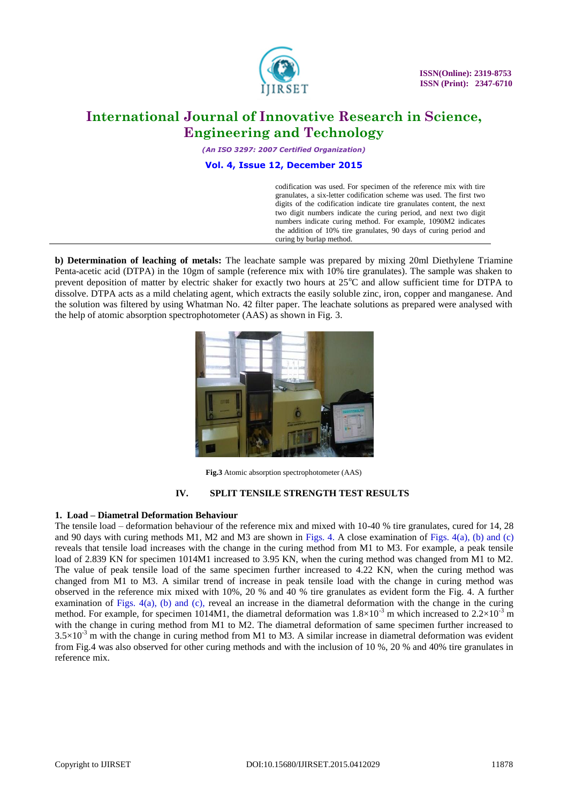

*(An ISO 3297: 2007 Certified Organization)*

#### **Vol. 4, Issue 12, December 2015**

codification was used. For specimen of the reference mix with tire granulates, a six-letter codification scheme was used. The first two digits of the codification indicate tire granulates content, the next two digit numbers indicate the curing period, and next two digit numbers indicate curing method. For example, 1090M2 indicates the addition of 10% tire granulates, 90 days of curing period and curing by burlap method.

**b) Determination of leaching of metals:** The leachate sample was prepared by mixing 20ml Diethylene Triamine Penta-acetic acid (DTPA) in the 10gm of sample (reference mix with 10% tire granulates). The sample was shaken to prevent deposition of matter by electric shaker for exactly two hours at  $25^{\circ}$ C and allow sufficient time for DTPA to dissolve. DTPA acts as a mild chelating agent, which extracts the easily soluble zinc, iron, copper and manganese. And the solution was filtered by using Whatman No. 42 filter paper. The leachate solutions as prepared were analysed with the help of atomic absorption spectrophotometer (AAS) as shown in Fig. 3.



**Fig.3** Atomic absorption spectrophotometer (AAS)

### **IV. SPLIT TENSILE STRENGTH TEST RESULTS**

#### **1. Load – Diametral Deformation Behaviour**

The tensile load – deformation behaviour of the reference mix and mixed with 10-40 % tire granulates, cured for 14, 28 and 90 days with curing methods M1, M2 and M3 are shown in Figs. 4. A close examination of Figs. 4(a), (b) and (c) reveals that tensile load increases with the change in the curing method from M1 to M3. For example, a peak tensile load of 2.839 KN for specimen 1014M1 increased to 3.95 KN, when the curing method was changed from M1 to M2. The value of peak tensile load of the same specimen further increased to 4.22 KN, when the curing method was changed from M1 to M3. A similar trend of increase in peak tensile load with the change in curing method was observed in the reference mix mixed with 10%, 20 % and 40 % tire granulates as evident form the Fig. 4. A further examination of Figs.  $4(a)$ , (b) and (c), reveal an increase in the diametral deformation with the change in the curing method. For example, for specimen 1014M1, the diametral deformation was  $1.8\times10^{-3}$  m which increased to  $2.2\times10^{-3}$  m with the change in curing method from M1 to M2. The diametral deformation of same specimen further increased to  $3.5\times10^{-3}$  m with the change in curing method from M1 to M3. A similar increase in diametral deformation was evident from Fig.4 was also observed for other curing methods and with the inclusion of 10 %, 20 % and 40% tire granulates in reference mix.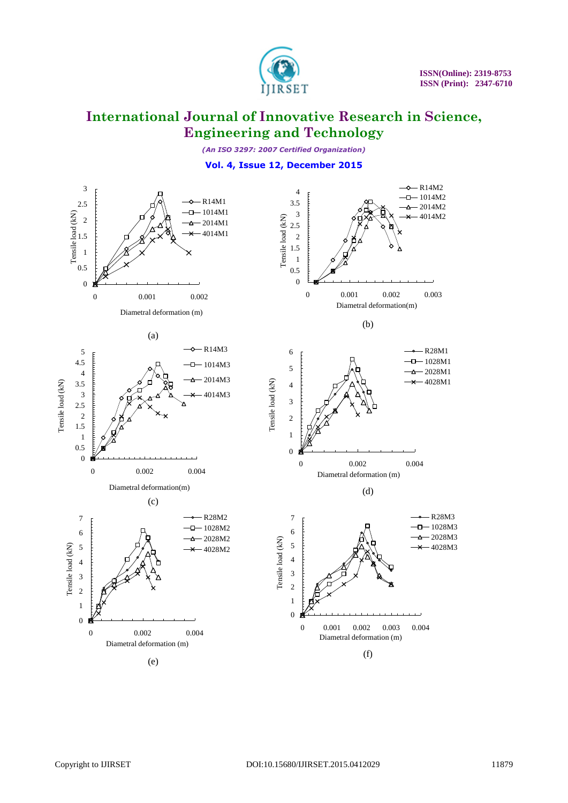

*(An ISO 3297: 2007 Certified Organization)*

## **Vol. 4, Issue 12, December 2015**

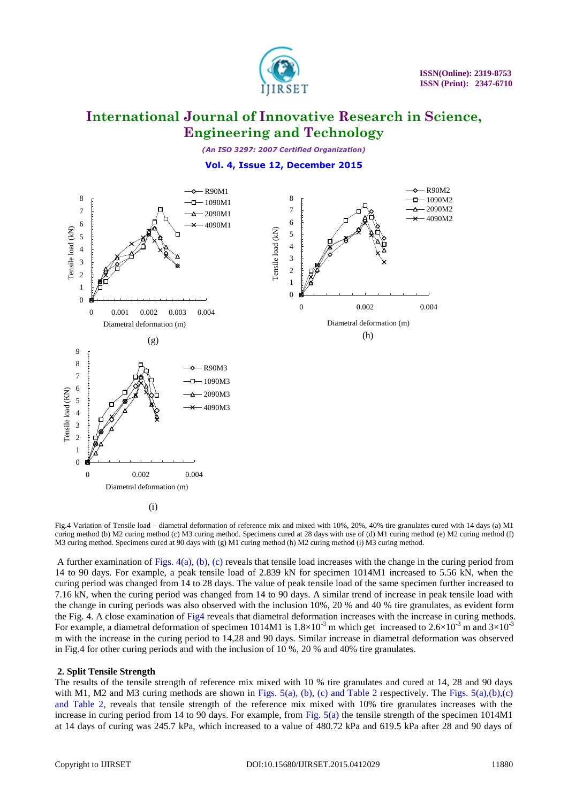

*(An ISO 3297: 2007 Certified Organization)*

### **Vol. 4, Issue 12, December 2015**



Fig.4 Variation of Tensile load – diametral deformation of reference mix and mixed with 10%, 20%, 40% tire granulates cured with 14 days (a) M1 curing method (b) M2 curing method (c) M3 curing method. Specimens cured at 28 days with use of (d) M1 curing method (e) M2 curing method (f) M3 curing method. Specimens cured at 90 days with (g) M1 curing method (h) M2 curing method (i) M3 curing method.

A further examination of Figs. 4(a), (b), (c) reveals that tensile load increases with the change in the curing period from 14 to 90 days. For example, a peak tensile load of 2.839 kN for specimen 1014M1 increased to 5.56 kN, when the curing period was changed from 14 to 28 days. The value of peak tensile load of the same specimen further increased to 7.16 kN, when the curing period was changed from 14 to 90 days. A similar trend of increase in peak tensile load with the change in curing periods was also observed with the inclusion 10%, 20 % and 40 % tire granulates, as evident form the Fig. 4. A close examination of Fig4 reveals that diametral deformation increases with the increase in curing methods. For example, a diametral deformation of specimen 1014M1 is  $1.8 \times 10^{-3}$  m which get increased to  $2.6 \times 10^{-3}$  m and  $3 \times 10^{-3}$ m with the increase in the curing period to 14,28 and 90 days. Similar increase in diametral deformation was observed in Fig.4 for other curing periods and with the inclusion of 10 %, 20 % and 40% tire granulates.

### **2. Split Tensile Strength**

The results of the tensile strength of reference mix mixed with 10 % tire granulates and cured at 14, 28 and 90 days with M1, M2 and M3 curing methods are shown in Figs. 5(a), (b), (c) and Table 2 respectively. The Figs. 5(a),(b),(c) and Table 2, reveals that tensile strength of the reference mix mixed with 10% tire granulates increases with the increase in curing period from 14 to 90 days. For example, from Fig. 5(a) the tensile strength of the specimen 1014M1 at 14 days of curing was 245.7 kPa, which increased to a value of 480.72 kPa and 619.5 kPa after 28 and 90 days of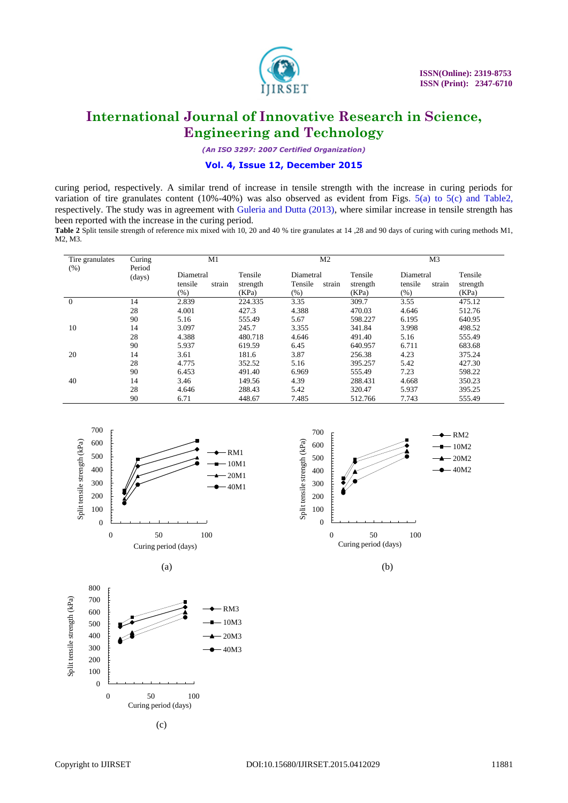

*(An ISO 3297: 2007 Certified Organization)*

#### **Vol. 4, Issue 12, December 2015**

curing period, respectively. A similar trend of increase in tensile strength with the increase in curing periods for variation of tire granulates content (10%-40%) was also observed as evident from Figs. 5(a) to 5(c) and Table2, respectively. The study was in agreement with Guleria and Dutta (2013), where similar increase in tensile strength has been reported with the increase in the curing period.

**Table 2** Split tensile strength of reference mix mixed with 10, 20 and 40 % tire granulates at 14 ,28 and 90 days of curing with curing methods M1, M2, M3.

| Tire granulates | Curing           | M1                                        |                              | M <sub>2</sub>                         |                              | M <sub>3</sub>                            |                              |
|-----------------|------------------|-------------------------------------------|------------------------------|----------------------------------------|------------------------------|-------------------------------------------|------------------------------|
| $(\% )$         | Period<br>(days) | Diametral<br>tensile<br>strain<br>$(\% )$ | Tensile<br>strength<br>(KPa) | Diametral<br>Tensile<br>strain<br>(% ) | Tensile<br>strength<br>(KPa) | Diametral<br>tensile<br>strain<br>$(\% )$ | Tensile<br>strength<br>(KPa) |
| $\theta$        | 14               | 2.839                                     | 224.335                      | 3.35                                   | 309.7                        | 3.55                                      | 475.12                       |
|                 | 28               | 4.001                                     | 427.3                        | 4.388                                  | 470.03                       | 4.646                                     | 512.76                       |
|                 | 90               | 5.16                                      | 555.49                       | 5.67                                   | 598.227                      | 6.195                                     | 640.95                       |
| 10              | 14               | 3.097                                     | 245.7                        | 3.355                                  | 341.84                       | 3.998                                     | 498.52                       |
|                 | 28               | 4.388                                     | 480.718                      | 4.646                                  | 491.40                       | 5.16                                      | 555.49                       |
|                 | 90               | 5.937                                     | 619.59                       | 6.45                                   | 640.957                      | 6.711                                     | 683.68                       |
| 20              | 14               | 3.61                                      | 181.6                        | 3.87                                   | 256.38                       | 4.23                                      | 375.24                       |
|                 | 28               | 4.775                                     | 352.52                       | 5.16                                   | 395.257                      | 5.42                                      | 427.30                       |
|                 | 90               | 6.453                                     | 491.40                       | 6.969                                  | 555.49                       | 7.23                                      | 598.22                       |
| 40              | 14               | 3.46                                      | 149.56                       | 4.39                                   | 288.431                      | 4.668                                     | 350.23                       |
|                 | 28               | 4.646                                     | 288.43                       | 5.42                                   | 320.47                       | 5.937                                     | 395.25                       |
|                 | 90               | 6.71                                      | 448.67                       | 7.485                                  | 512.766                      | 7.743                                     | 555.49                       |







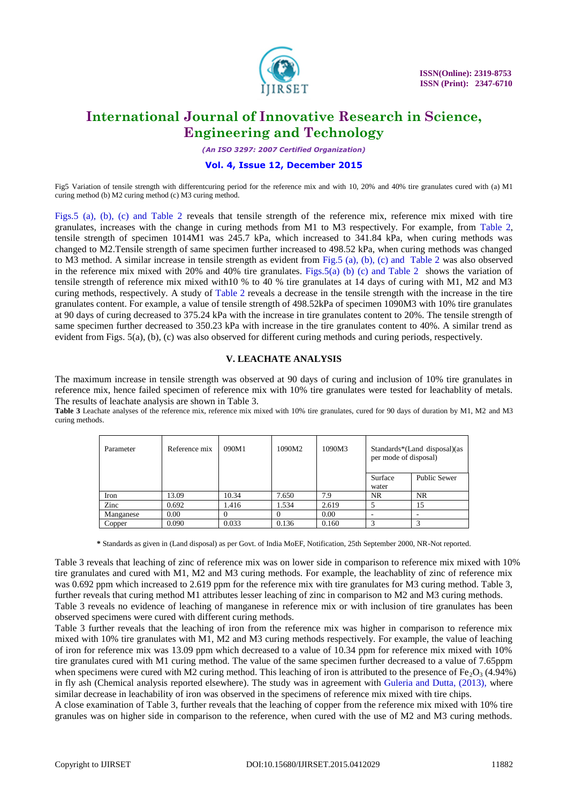

*(An ISO 3297: 2007 Certified Organization)*

#### **Vol. 4, Issue 12, December 2015**

Fig5 Variation of tensile strength with differentcuring period for the reference mix and with 10, 20% and 40% tire granulates cured with (a) M1 curing method (b) M2 curing method (c) M3 curing method.

Figs.5 (a), (b), (c) and Table 2 reveals that tensile strength of the reference mix, reference mix mixed with tire granulates, increases with the change in curing methods from M1 to M3 respectively. For example, from Table 2, tensile strength of specimen 1014M1 was 245.7 kPa, which increased to 341.84 kPa, when curing methods was changed to M2.Tensile strength of same specimen further increased to 498.52 kPa, when curing methods was changed to M3 method. A similar increase in tensile strength as evident from Fig.5 (a), (b), (c) and Table 2 was also observed in the reference mix mixed with 20% and 40% tire granulates. Figs.5(a) (b) (c) and Table 2 shows the variation of tensile strength of reference mix mixed with10 % to 40 % tire granulates at 14 days of curing with M1, M2 and M3 curing methods, respectively. A study of Table 2 reveals a decrease in the tensile strength with the increase in the tire granulates content. For example, a value of tensile strength of 498.52kPa of specimen 1090M3 with 10% tire granulates at 90 days of curing decreased to 375.24 kPa with the increase in tire granulates content to 20%. The tensile strength of same specimen further decreased to 350.23 kPa with increase in the tire granulates content to 40%. A similar trend as evident from Figs. 5(a), (b), (c) was also observed for different curing methods and curing periods, respectively.

### **V. LEACHATE ANALYSIS**

The maximum increase in tensile strength was observed at 90 days of curing and inclusion of 10% tire granulates in reference mix, hence failed specimen of reference mix with 10% tire granulates were tested for leachablity of metals. The results of leachate analysis are shown in Table 3.

**Table 3** Leachate analyses of the reference mix, reference mix mixed with 10% tire granulates, cured for 90 days of duration by M1, M2 and M3 curing methods.

| Parameter | Reference mix | 090M1  | 1090M2 | 1090M3 | Standards*(Land disposal)(as<br>per mode of disposal) |                     |
|-----------|---------------|--------|--------|--------|-------------------------------------------------------|---------------------|
|           |               |        |        |        | Surface<br>water                                      | <b>Public Sewer</b> |
| Iron      | 13.09         | 10.34  | 7.650  | 7.9    | <b>NR</b>                                             | <b>NR</b>           |
| Zinc      | 0.692         | 1.416  | 1.534  | 2.619  |                                                       | 15                  |
| Manganese | 0.00          | $_{0}$ | 0      | 0.00   | -                                                     | ۰                   |
| Copper    | 0.090         | 0.033  | 0.136  | 0.160  | 3                                                     |                     |

**\*** Standards as given in (Land disposal) as per Govt. of India MoEF, Notification, 25th September 2000, NR-Not reported.

Table 3 reveals that leaching of zinc of reference mix was on lower side in comparison to reference mix mixed with 10% tire granulates and cured with M1, M2 and M3 curing methods. For example, the leachablity of zinc of reference mix was 0.692 ppm which increased to 2.619 ppm for the reference mix with tire granulates for M3 curing method. Table 3, further reveals that curing method M1 attributes lesser leaching of zinc in comparison to M2 and M3 curing methods. Table 3 reveals no evidence of leaching of manganese in reference mix or with inclusion of tire granulates has been observed specimens were cured with different curing methods.

Table 3 further reveals that the leaching of iron from the reference mix was higher in comparison to reference mix mixed with 10% tire granulates with M1, M2 and M3 curing methods respectively. For example, the value of leaching of iron for reference mix was 13.09 ppm which decreased to a value of 10.34 ppm for reference mix mixed with 10% tire granulates cured with M1 curing method. The value of the same specimen further decreased to a value of 7.65ppm when specimens were cured with M2 curing method. This leaching of iron is attributed to the presence of  $Fe<sub>2</sub>O<sub>3</sub>$  (4.94%) in fly ash (Chemical analysis reported elsewhere). The study was in agreement with Guleria and Dutta, (2013), where similar decrease in leachability of iron was observed in the specimens of reference mix mixed with tire chips.

A close examination of Table 3, further reveals that the leaching of copper from the reference mix mixed with 10% tire granules was on higher side in comparison to the reference, when cured with the use of M2 and M3 curing methods.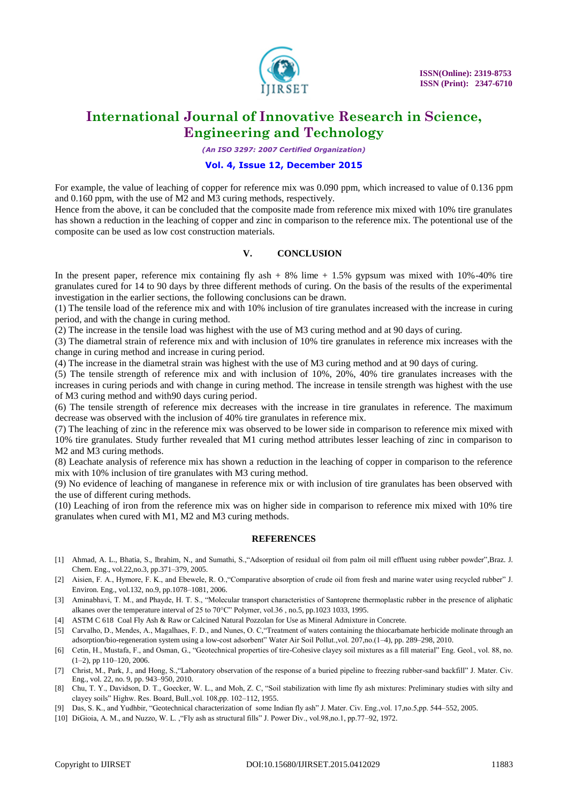

*(An ISO 3297: 2007 Certified Organization)*

### **Vol. 4, Issue 12, December 2015**

For example, the value of leaching of copper for reference mix was 0.090 ppm, which increased to value of 0.136 ppm and 0.160 ppm, with the use of M2 and M3 curing methods, respectively.

Hence from the above, it can be concluded that the composite made from reference mix mixed with 10% tire granulates has shown a reduction in the leaching of copper and zinc in comparison to the reference mix. The potentional use of the composite can be used as low cost construction materials.

### **V. CONCLUSION**

In the present paper, reference mix containing fly ash  $+ 8\%$  lime  $+ 1.5\%$  gypsum was mixed with 10%-40% tire granulates cured for 14 to 90 days by three different methods of curing. On the basis of the results of the experimental investigation in the earlier sections, the following conclusions can be drawn.

(1) The tensile load of the reference mix and with 10% inclusion of tire granulates increased with the increase in curing period, and with the change in curing method.

(2) The increase in the tensile load was highest with the use of M3 curing method and at 90 days of curing.

(3) The diametral strain of reference mix and with inclusion of 10% tire granulates in reference mix increases with the change in curing method and increase in curing period.

(4) The increase in the diametral strain was highest with the use of M3 curing method and at 90 days of curing.

(5) The tensile strength of reference mix and with inclusion of 10%, 20%, 40% tire granulates increases with the increases in curing periods and with change in curing method. The increase in tensile strength was highest with the use of M3 curing method and with90 days curing period.

(6) The tensile strength of reference mix decreases with the increase in tire granulates in reference. The maximum decrease was observed with the inclusion of 40% tire granulates in reference mix.

(7) The leaching of zinc in the reference mix was observed to be lower side in comparison to reference mix mixed with 10% tire granulates. Study further revealed that M1 curing method attributes lesser leaching of zinc in comparison to M2 and M3 curing methods.

(8) Leachate analysis of reference mix has shown a reduction in the leaching of copper in comparison to the reference mix with 10% inclusion of tire granulates with M3 curing method.

(9) No evidence of leaching of manganese in reference mix or with inclusion of tire granulates has been observed with the use of different curing methods.

(10) Leaching of iron from the reference mix was on higher side in comparison to reference mix mixed with 10% tire granulates when cured with M1, M2 and M3 curing methods.

### **REFERENCES**

- [1] Ahmad, A. L., Bhatia, S., Ibrahim, N., and Sumathi, S., "Adsorption of residual oil from palm oil mill effluent using rubber powder", Braz. J. Chem. Eng., vol.22,no.3, pp.371–379, 2005.
- [2] Aisien, F. A., Hymore, F. K., and Ebewele, R. O., "Comparative absorption of crude oil from fresh and marine water using recycled rubber" J. Environ. Eng., vol.132, no.9, pp.1078–1081, 2006.
- [3] Aminabhavi, T. M., and Phayde, H. T. S., "Molecular transport characteristics of Santoprene thermoplastic rubber in the presence of aliphatic alkanes over the temperature interval of 25 to 70°C" Polymer, vol.36, no.5, pp.1023 1033, 1995.
- [4] ASTM C 618 Coal Fly Ash & Raw or Calcined Natural Pozzolan for Use as Mineral Admixture in Concrete.
- [5] Carvalho, D., Mendes, A., Magalhaes, F. D., and Nunes, O. C, "Treatment of waters containing the thiocarbamate herbicide molinate through an adsorption/bio-regeneration system using a low-cost adsorbent" Water Air Soil Pollut.,vol. 207,no.(1-4), pp. 289-298, 2010.
- [6] Cetin, H., Mustafa, F., and Osman, G., "Geotechnical properties of tire-Cohesive clayey soil mixtures as a fill material" Eng. Geol., vol. 88, no. (1–2), pp 110–120, 2006.
- [7] Christ, M., Park, J., and Hong, S., "Laboratory observation of the response of a buried pipeline to freezing rubber-sand backfill" J. Mater. Civ. Eng., vol. 22, no. 9, pp. 943–950, 2010.
- [8] Chu, T. Y., Davidson, D. T., Goecker, W. L., and Moh, Z. C, "Soil stabilization with lime fly ash mixtures: Preliminary studies with silty and clayey soils" Highw. Res. Board, Bull., vol. 108, pp. 102-112, 1955.
- [9] Das, S. K., and Yudhbir, "Geotechnical characterization of some Indian fly ash" J. Mater. Civ. Eng.,vol. 17,no.5,pp. 544–552, 2005.
- [10] DiGioia, A. M., and Nuzzo, W. L. , "Fly ash as structural fills" J. Power Div., vol.98,no.1, pp.77–92, 1972.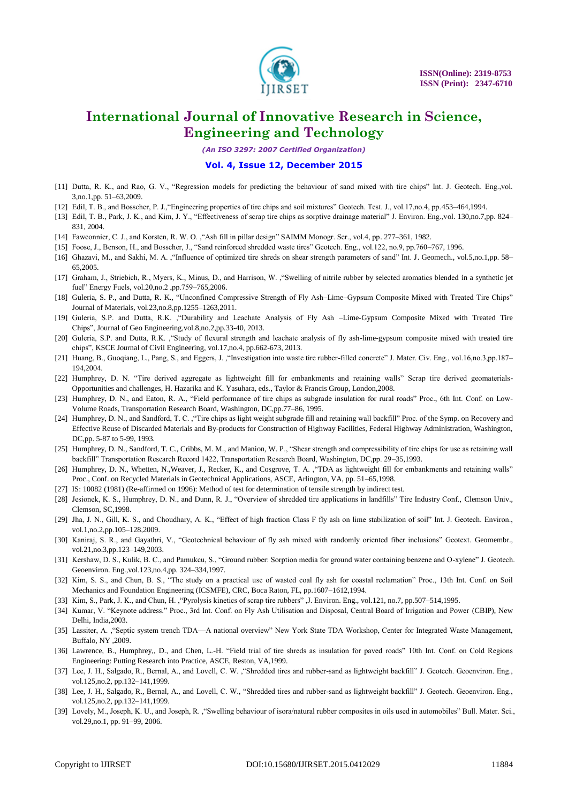

*(An ISO 3297: 2007 Certified Organization)*

#### **Vol. 4, Issue 12, December 2015**

- [11] Dutta, R. K., and Rao, G. V., "Regression models for predicting the behaviour of sand mixed with tire chips" Int. J. Geotech. Eng.,vol. 3,no.1,pp. 51–63,2009.
- [12] Edil, T. B., and Bosscher, P. J., "Engineering properties of tire chips and soil mixtures" Geotech. Test. J., vol.17,no.4, pp.453-464,1994.
- [13] Edil, T. B., Park, J. K., and Kim, J. Y., "Effectiveness of scrap tire chips as sorptive drainage material" J. Environ. Eng.,vol. 130,no.7,pp. 824– 831, 2004.
- [14] Fawconnier, C. J., and Korsten, R. W. O. ,"Ash fill in pillar design" SAIMM Monogr. Ser., vol.4, pp. 277-361, 1982.
- [15] Foose, J., Benson, H., and Bosscher, J., "Sand reinforced shredded waste tires" Geotech. Eng., vol.122, no.9, pp.760–767, 1996.
- [16] Ghazavi, M., and Sakhi, M. A. ,"Influence of optimized tire shreds on shear strength parameters of sand" Int. J. Geomech., vol.5,no.1,pp. 58– 65,2005.
- [17] Graham, J., Striebich, R., Myers, K., Minus, D., and Harrison, W. , "Swelling of nitrile rubber by selected aromatics blended in a synthetic jet fuel" Energy Fuels, vol.20,no.2 ,pp.759-765,2006.
- [18] Guleria, S. P., and Dutta, R. K., "Unconfined Compressive Strength of Fly Ash-Lime-Gypsum Composite Mixed with Treated Tire Chips" Journal of Materials, vol.23,no.8,pp.1255–1263,2011.
- [19] Guleria, S.P. and Dutta, R.K. ,"Durability and Leachate Analysis of Fly Ash -Lime-Gypsum Composite Mixed with Treated Tire Chips", Journal of Geo Engineering,vol.8,no.2,pp.33-40, 2013.
- [20] Guleria, S.P. and Dutta, R.K. , "Study of flexural strength and leachate analysis of fly ash-lime-gypsum composite mixed with treated tire chips", KSCE Journal of Civil Engineering, vol.17,no.4, pp.662-673, 2013.
- [21] Huang, B., Guoqiang, L., Pang, S., and Eggers, J., "Investigation into waste tire rubber-filled concrete" J. Mater. Civ. Eng., vol.16,no.3,pp.187– 194,2004.
- [22] Humphrey, D. N. "Tire derived aggregate as lightweight fill for embankments and retaining walls" Scrap tire derived geomaterials-Opportunities and challenges, H. Hazarika and K. Yasuhara, eds., Taylor & Francis Group, London,2008.
- [23] Humphrey, D. N., and Eaton, R. A., "Field performance of tire chips as subgrade insulation for rural roads" Proc., 6th Int. Conf. on Low-Volume Roads, Transportation Research Board, Washington, DC,pp.77–86, 1995.
- [24] Humphrey, D. N., and Sandford, T. C., "Tire chips as light weight subgrade fill and retaining wall backfill" Proc. of the Symp. on Recovery and Effective Reuse of Discarded Materials and By-products for Construction of Highway Facilities, Federal Highway Administration, Washington, DC,pp. 5-87 to 5-99, 1993.
- [25] Humphrey, D. N., Sandford, T. C., Cribbs, M. M., and Manion, W. P., "Shear strength and compressibility of tire chips for use as retaining wall backfill" Transportation Research Record 1422, Transportation Research Board, Washington, DC,pp. 29–35,1993.
- [26] Humphrey, D. N., Whetten, N., Weaver, J., Recker, K., and Cosgrove, T. A. , "TDA as lightweight fill for embankments and retaining walls" Proc., Conf. on Recycled Materials in Geotechnical Applications, ASCE, Arlington, VA, pp. 51–65,1998.
- [27] IS: 10082 (1981) (Re-affirmed on 1996): Method of test for determination of tensile strength by indirect test.
- [28] Jesionek, K. S., Humphrey, D. N., and Dunn, R. J., "Overview of shredded tire applications in landfills" Tire Industry Conf., Clemson Univ., Clemson, SC,1998.
- [29] Jha, J. N., Gill, K. S., and Choudhary, A. K., "Effect of high fraction Class F fly ash on lime stabilization of soil" Int. J. Geotech. Environ., vol.1, no.2, pp. 105–128, 2009.
- [30] Kaniraj, S. R., and Gayathri, V., "Geotechnical behaviour of fly ash mixed with randomly oriented fiber inclusions" Geotext. Geomembr., vol.21,no.3,pp.123–149,2003.
- [31] Kershaw, D. S., Kulik, B. C., and Pamukcu, S., "Ground rubber: Sorption media for ground water containing benzene and O-xylene" J. Geotech. Geoenviron. Eng.,vol.123,no.4,pp. 324–334,1997.
- [32] Kim, S. S., and Chun, B. S., "The study on a practical use of wasted coal fly ash for coastal reclamation" Proc., 13th Int. Conf. on Soil Mechanics and Foundation Engineering (ICSMFE), CRC, Boca Raton, FL, pp.1607–1612,1994.
- [33] Kim, S., Park, J. K., and Chun, H., "Pyrolysis kinetics of scrap tire rubbers", J. Environ. Eng., vol.121, no.7, pp.507-514,1995.
- [34] Kumar, V. "Keynote address." Proc., 3rd Int. Conf. on Fly Ash Utilisation and Disposal, Central Board of Irrigation and Power (CBIP), New Delhi, India,2003.
- [35] Lassiter, A. , "Septic system trench TDA—A national overview" New York State TDA Workshop, Center for Integrated Waste Management, Buffalo, NY ,2009.
- [36] Lawrence, B., Humphrey,, D., and Chen, L.-H. "Field trial of tire shreds as insulation for paved roads" 10th Int. Conf. on Cold Regions Engineering: Putting Research into Practice, ASCE, Reston, VA,1999.
- [37] Lee, J. H., Salgado, R., Bernal, A., and Lovell, C. W., "Shredded tires and rubber-sand as lightweight backfill" J. Geotech. Geoenviron. Eng., vol.125,no.2, pp.132–141,1999.
- [38] Lee, J. H., Salgado, R., Bernal, A., and Lovell, C. W., "Shredded tires and rubber-sand as lightweight backfill" J. Geotech. Geoenviron. Eng., vol.125,no.2, pp.132–141,1999.
- [39] Lovely, M., Joseph, K. U., and Joseph, R. , "Swelling behaviour of isora/natural rubber composites in oils used in automobiles" Bull. Mater. Sci., vol.29,no.1, pp. 91–99, 2006.